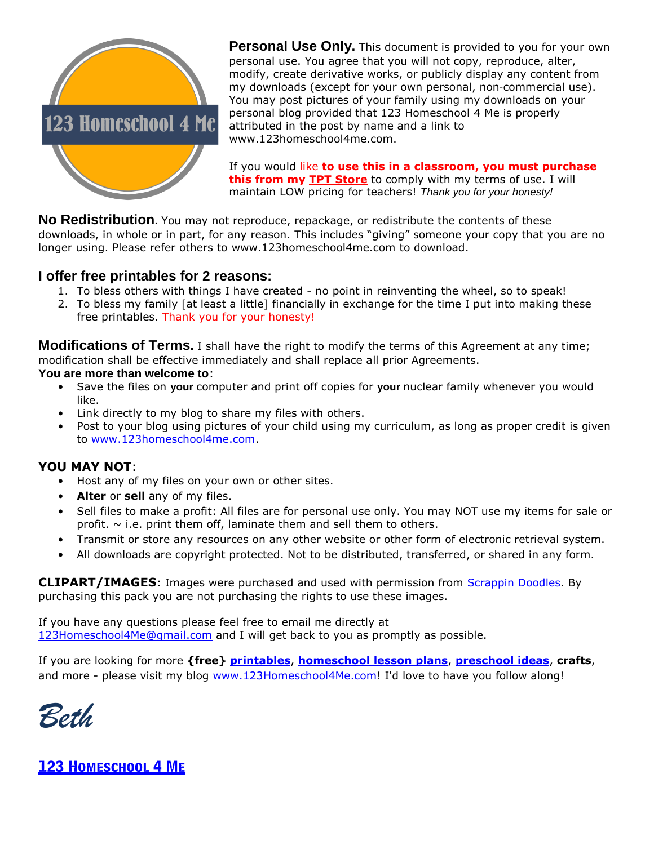

**Personal Use Only.** This document is provided to you for your own personal use. You agree that you will not copy, reproduce, alter, modify, create derivative works, or publicly display any content from my downloads (except for your own personal, non‐commercial use). You may post pictures of your family using my downloads on your personal blog provided that 123 Homeschool 4 Me is properly attributed in the post by name and a link to www.123homeschool4me.com.

If you would like **to use this in a classroom, you must purchase this from my [TPT Store](https://www.teacherspayteachers.com/Store/Living-Life-Intentionally)** to comply with my terms of use. I will maintain LOW pricing for teachers! *Thank you for your honesty!*

**No Redistribution.** You may not reproduce, repackage, or redistribute the contents of these downloads, in whole or in part, for any reason. This includes "giving" someone your copy that you are no longer using. Please refer others to www.123homeschool4me.com to download.

## **I offer free printables for 2 reasons:**

- 1. To bless others with things I have created no point in reinventing the wheel, so to speak!
- 2. To bless my family [at least a little] financially in exchange for the time I put into making these free printables. Thank you for your honesty!

**Modifications of Terms.** I shall have the right to modify the terms of this Agreement at any time; modification shall be effective immediately and shall replace all prior Agreements.

## **You are more than welcome to**:

- Save the files on **your** computer and print off copies for **your** nuclear family whenever you would like.
- Link directly to my blog to share my files with others.
- Post to your blog using pictures of your child using my curriculum, as long as proper credit is given to www.123homeschool4me.com.

## **YOU MAY NOT**:

- Host any of my files on your own or other sites.
- **Alter** or **sell** any of my files.
- Sell files to make a profit: All files are for personal use only. You may NOT use my items for sale or profit.  $\sim$  i.e. print them off, laminate them and sell them to others.
- Transmit or store any resources on any other website or other form of electronic retrieval system.
- All downloads are copyright protected. Not to be distributed, transferred, or shared in any form.

**CLIPART/IMAGES**: Images were purchased and used with permission from [Scrappin Doodles.](http://www.scrappindoodles.com/) By purchasing this pack you are not purchasing the rights to use these images.

If you have any questions please feel free to email me directly at [123Homeschool4Me@gmail.com](mailto:123Homeschool4Me@gmail.com) and I will get back to you as promptly as possible.

If you are looking for more **{free} [printables](http://livinglifeintentionally.blogspot.com/2011/10/my-printables-page.html)**, **[homeschool lesson plans](http://livinglifeintentionally.blogspot.com/2012/01/explorers-part-1vikings.html)**, **[preschool ideas](http://livinglifeintentionally.blogspot.com/p/my-fathers-world-k.html)**, **crafts**, and more - please visit my blog [www.123Homeschool4Me.com!](http://www.123homeschool4me.com/) I'd love to have you follow along!



## [123 Homeschool 4 Me](http://www.www.123homeschool4me.com/)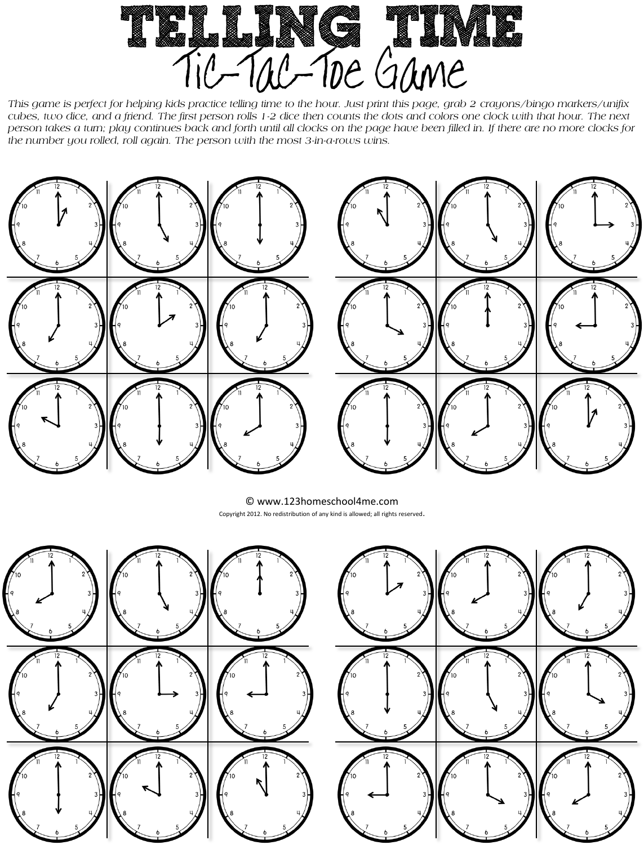TELLING TIME

*This game is perfect for helping kids practice telling time to the hour. Just print this page, grab 2 crayons/bingo markers/unifix cubes, two dice, and a friend. The first person rolls 1-2 dice then counts the dots and colors one clock with that hour. The next person takes a turn; play continues back and forth until all clocks on the page have been filled in. If there are no more clocks for the number you rolled, roll again. The person with the most 3-in-a-rows wins.*



© www.123homeschool4me.com Copyright 2012. No redistribution of any kind is allowed; all rights reserved.

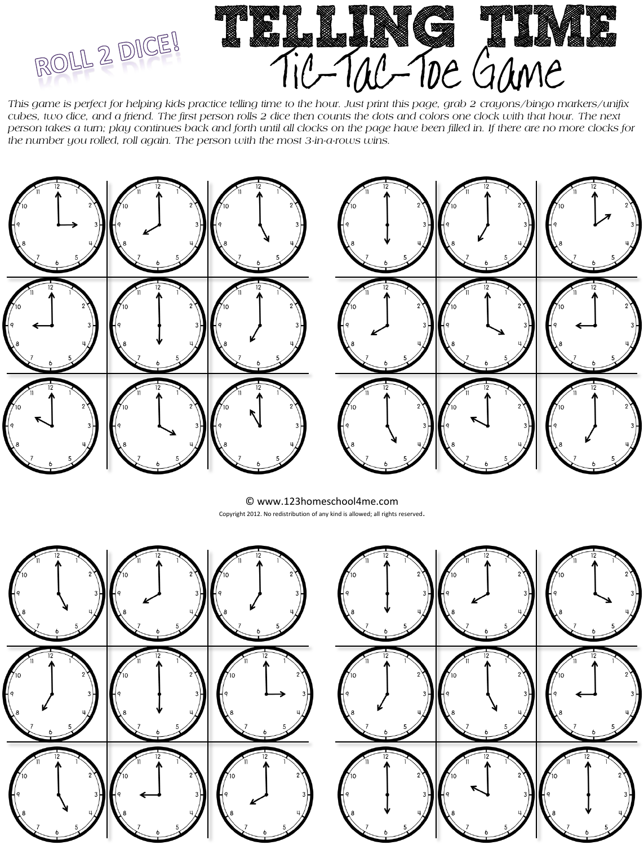

*This game is perfect for helping kids practice telling time to the hour. Just print this page, grab 2 crayons/bingo markers/unifix cubes, two dice, and a friend. The first person rolls 2 dice then counts the dots and colors one clock with that hour. The next person takes a turn; play continues back and forth until all clocks on the page have been filled in. If there are no more clocks for the number you rolled, roll again. The person with the most 3-in-a-rows wins.*



© www.123homeschool4me.com Copyright 2012. No redistribution of any kind is allowed; all rights reserved.

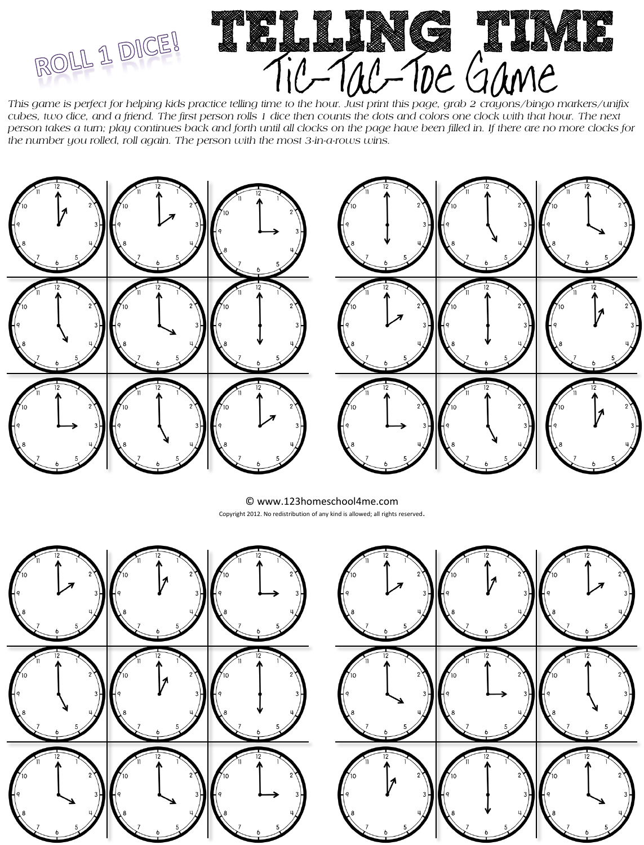

*This game is perfect for helping kids practice telling time to the hour. Just print this page, grab 2 crayons/bingo markers/unifix cubes, two dice, and a friend. The first person rolls 1 dice then counts the dots and colors one clock with that hour. The next person takes a turn; play continues back and forth until all clocks on the page have been filled in. If there are no more clocks for the number you rolled, roll again. The person with the most 3-in-a-rows wins.*



© www.123homeschool4me.com Copyright 2012. No redistribution of any kind is allowed; all rights reserved.